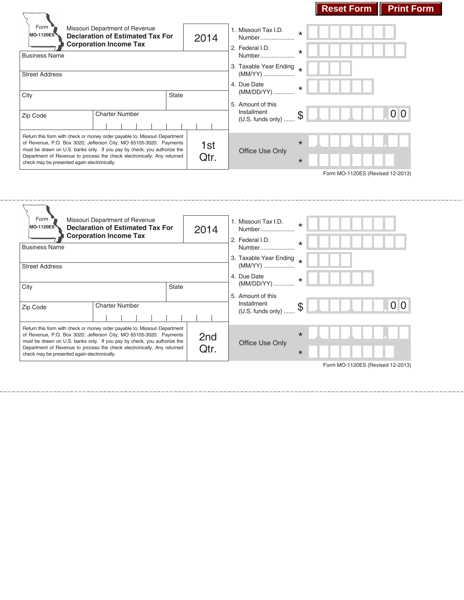# **Reset Form Print Form**

| Form<br><b>MO-1120ES</b>                     | Missouri Department of Revenue<br><b>Declaration of Estimated Tax For</b><br><b>Corporation Income Tax</b>                                                                                                                   | 2014         |                                     | 1. Missouri Tax I.D.<br>Number<br>2. Federal I.D. | $\star$ |  |  |                                  |  |  |
|----------------------------------------------|------------------------------------------------------------------------------------------------------------------------------------------------------------------------------------------------------------------------------|--------------|-------------------------------------|---------------------------------------------------|---------|--|--|----------------------------------|--|--|
| <b>Business Name</b>                         |                                                                                                                                                                                                                              |              |                                     | Number                                            | $\star$ |  |  |                                  |  |  |
| <b>Street Address</b>                        |                                                                                                                                                                                                                              |              | 3. Taxable Year Ending<br>$(MM/YY)$ | $\star$                                           |         |  |  |                                  |  |  |
| City                                         |                                                                                                                                                                                                                              | <b>State</b> |                                     | 4. Due Date<br>(MM/DD/YY)                         | $\star$ |  |  |                                  |  |  |
|                                              |                                                                                                                                                                                                                              |              |                                     | 5. Amount of this<br>Installment                  |         |  |  |                                  |  |  |
| Zip Code                                     | <b>Charter Number</b>                                                                                                                                                                                                        |              |                                     | $(U.S.$ funds only $)$                            |         |  |  | 0 <sup>10</sup>                  |  |  |
|                                              | Return this form with check or money order payable to: Missouri Department<br>of Revenue, P.O. Box 3020, Jefferson City, MO 65105-3020. Payments<br>must be drawn on U.S. banks only. If you pay by check, you authorize the |              | 1st                                 | Office Use Only                                   | $\star$ |  |  |                                  |  |  |
| check may be presented again electronically. | Department of Revenue to process the check electronically. Any returned                                                                                                                                                      |              | Qtr.                                |                                                   | $\star$ |  |  |                                  |  |  |
|                                              |                                                                                                                                                                                                                              |              |                                     |                                                   |         |  |  | Form MO-1120ES (Revised 12-2013) |  |  |

 $\overline{\phantom{0}}$ 

| Form<br>Missouri Department of Revenue<br><b>MO-1120ES</b><br><b>Declaration of Estimated Tax For</b><br><b>Corporation Income Tax</b>                                                                                       |                                                                                                                                 |  |  | 1. Missouri Tax I.D.<br>2014<br>2. Federal I.D. |              |                                   | Number | $\star$           |                                       |         |                                  |
|------------------------------------------------------------------------------------------------------------------------------------------------------------------------------------------------------------------------------|---------------------------------------------------------------------------------------------------------------------------------|--|--|-------------------------------------------------|--------------|-----------------------------------|--------|-------------------|---------------------------------------|---------|----------------------------------|
| <b>Business Name</b>                                                                                                                                                                                                         |                                                                                                                                 |  |  |                                                 |              |                                   |        |                   | Number                                | $\star$ |                                  |
| <b>Street Address</b>                                                                                                                                                                                                        |                                                                                                                                 |  |  |                                                 |              | 3. Taxable Year Ending<br>(MM/YY) |        |                   |                                       |         |                                  |
|                                                                                                                                                                                                                              |                                                                                                                                 |  |  |                                                 |              |                                   |        | 4. Due Date       |                                       |         |                                  |
| City                                                                                                                                                                                                                         |                                                                                                                                 |  |  |                                                 | <b>State</b> |                                   |        | (MM/DD/YY)        |                                       | $\star$ |                                  |
|                                                                                                                                                                                                                              |                                                                                                                                 |  |  |                                                 |              |                                   |        | 5. Amount of this |                                       |         |                                  |
| Zip Code                                                                                                                                                                                                                     | <b>Charter Number</b>                                                                                                           |  |  |                                                 |              |                                   |        |                   | Installment<br>$(U.S.$ funds only $)$ |         | 0 <sup>o</sup>                   |
|                                                                                                                                                                                                                              |                                                                                                                                 |  |  |                                                 |              |                                   |        |                   |                                       |         |                                  |
| Return this form with check or money order payable to: Missouri Department<br>of Revenue, P.O. Box 3020, Jefferson City, MO 65105-3020. Payments<br>must be drawn on U.S. banks only. If you pay by check, you authorize the |                                                                                                                                 |  |  | 2nd                                             |              |                                   |        | $\star$           |                                       |         |                                  |
|                                                                                                                                                                                                                              | Qtr.<br>Department of Revenue to process the check electronically. Any returned<br>check may be presented again electronically. |  |  | Office Use Only                                 |              |                                   |        |                   |                                       |         |                                  |
|                                                                                                                                                                                                                              |                                                                                                                                 |  |  |                                                 |              |                                   |        |                   |                                       |         | Form MO-1120ES (Revised 12-2013) |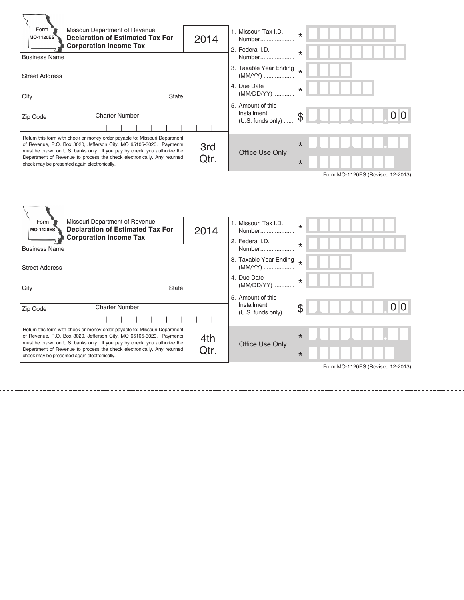| Form<br>Missouri Department of Revenue<br><b>Declaration of Estimated Tax For</b><br><b>MO-1120ES</b><br><b>Corporation Income Tax</b>                                                                                              |                                                                         |                                       | 2014            | 1. Missouri Tax I.D.<br>Number<br>2. Federal I.D. | $\star$ |                                  |
|-------------------------------------------------------------------------------------------------------------------------------------------------------------------------------------------------------------------------------------|-------------------------------------------------------------------------|---------------------------------------|-----------------|---------------------------------------------------|---------|----------------------------------|
| <b>Business Name</b>                                                                                                                                                                                                                |                                                                         |                                       |                 | Number                                            | $\star$ |                                  |
| <b>Street Address</b>                                                                                                                                                                                                               |                                                                         | 3. Taxable Year Ending *<br>$(MM/YY)$ |                 |                                                   |         |                                  |
|                                                                                                                                                                                                                                     |                                                                         | 4. Due Date                           |                 |                                                   |         |                                  |
| City                                                                                                                                                                                                                                | <b>State</b>                                                            |                                       |                 | (MM/DD/YY)                                        |         |                                  |
|                                                                                                                                                                                                                                     |                                                                         |                                       |                 | 5. Amount of this<br>Installment                  |         |                                  |
| Zip Code                                                                                                                                                                                                                            | <b>Charter Number</b>                                                   |                                       |                 | (U.S. funds only)                                 | \$      | 0 <sup>10</sup>                  |
|                                                                                                                                                                                                                                     |                                                                         |                                       |                 |                                                   |         |                                  |
| Return this form with check or money order payable to: Missouri Department<br>of Revenue, P.O. Box 3020, Jefferson City, MO 65105-3020. Payments<br>3rd<br>must be drawn on U.S. banks only. If you pay by check, you authorize the |                                                                         |                                       | Office Use Only | $\star$                                           |         |                                  |
| check may be presented again electronically.                                                                                                                                                                                        | Department of Revenue to process the check electronically. Any returned |                                       | Qtr.            |                                                   | $\star$ |                                  |
|                                                                                                                                                                                                                                     |                                                                         |                                       |                 |                                                   |         | Form MO-1120ES (Revised 12-2013) |

| Missouri Department of Revenue<br>Form<br><b>Declaration of Estimated Tax For</b><br><b>MO-1120ES</b><br><b>Corporation Income Tax</b>                                                                                                                                                                                                                  |                       |              | 2014                              | 1. Missouri Tax I.D.<br>Number<br>2. Federal I.D. | $\star$ |                                  |  |  |
|---------------------------------------------------------------------------------------------------------------------------------------------------------------------------------------------------------------------------------------------------------------------------------------------------------------------------------------------------------|-----------------------|--------------|-----------------------------------|---------------------------------------------------|---------|----------------------------------|--|--|
| <b>Business Name</b>                                                                                                                                                                                                                                                                                                                                    |                       |              | Number                            | $\star$                                           |         |                                  |  |  |
| <b>Street Address</b>                                                                                                                                                                                                                                                                                                                                   |                       |              | 3. Taxable Year Ending<br>(MM/YY) |                                                   |         |                                  |  |  |
|                                                                                                                                                                                                                                                                                                                                                         |                       |              | 4. Due Date                       | $\star$                                           |         |                                  |  |  |
| City                                                                                                                                                                                                                                                                                                                                                    |                       | <b>State</b> |                                   | (MM/DD/YY)                                        |         |                                  |  |  |
|                                                                                                                                                                                                                                                                                                                                                         |                       |              |                                   | 5. Amount of this                                 |         |                                  |  |  |
| Zip Code                                                                                                                                                                                                                                                                                                                                                | <b>Charter Number</b> |              |                                   | Installment<br>$(U.S.$ funds only $)$             | \$      | 0 <sup>10</sup>                  |  |  |
| Return this form with check or money order payable to: Missouri Department<br>of Revenue, P.O. Box 3020, Jefferson City, MO 65105-3020. Payments<br>must be drawn on U.S. banks only. If you pay by check, you authorize the<br>Department of Revenue to process the check electronically. Any returned<br>check may be presented again electronically. | 4th<br>Qtr.           |              | Office Use Only                   | $\star$<br>$\star$                                |         |                                  |  |  |
|                                                                                                                                                                                                                                                                                                                                                         |                       |              |                                   |                                                   |         | Form MO-1120ES (Revised 12-2013) |  |  |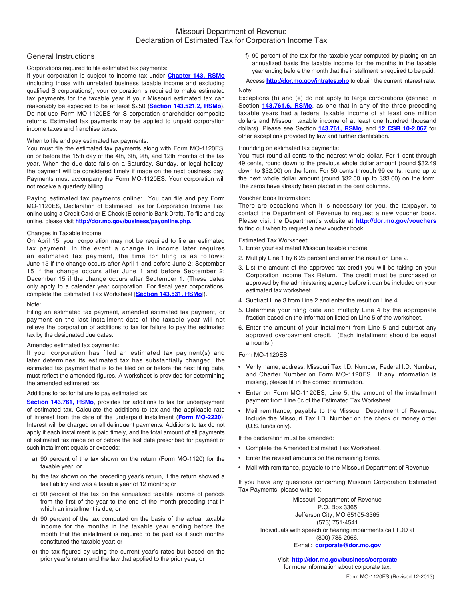## General Instructions

## Corporations required to file estimated tax payments:

If your corporation is subject to income tax under **[Chapter 143, RSMo](http://www.moga.mo.gov/statutes/C143.HTM)** (including those with unrelated business taxable income and excluding qualified S corporations), your corporation is required to make estimated tax payments for the taxable year if your Missouri estimated tax can reasonably be expected to be at least \$250 (**[Section 143.521.2, RSMo](http://www.moga.mo.gov/statutes/C100-199/1430000521.HTM)**). Do not use Form MO-1120ES for S corporation shareholder composite returns. Estimated tax payments may be applied to unpaid corporation income taxes and franchise taxes.

### When to file and pay estimated tax payments:

You must file the estimated tax payments along with Form MO-1120ES, on or before the 15th day of the 4th, 6th, 9th, and 12th months of the tax year. When the due date falls on a Saturday, Sunday, or legal holiday, the payment will be considered timely if made on the next business day. Payments must accompany the Form MO‑1120ES. Your corporation will not receive a quarterly billing.

Paying estimated tax payments online: You can file and pay Form MO-1120ES, Declaration of Estimated Tax for Corporation Income Tax, online using a Credit Card or E-Check (Electronic Bank Draft). To file and pay online, please visit **[http://dor.mo.gov/business/payonline.php.](http://dor.mo.gov/business/payonline.php)**

#### Changes in Taxable income:

On April 15, your corporation may not be required to file an estimated tax payment. In the event a change in income later requires an estimated tax payment, the time for filing is as follows: June 15 if the change occurs after April 1 and before June 2; September 15 if the change occurs after June 1 and before September 2; December 15 if the change occurs after September 1. (These dates only apply to a calendar year corporation. For fiscal year corporations, complete the Estimated Tax Worksheet [**[Section 143.531, RSMo](http://www.moga.mo.gov/statutes/C100-199/1430000531.HTM)**]).

#### Note:

Filing an estimated tax payment, amended estimated tax payment, or payment on the last installment date of the taxable year will not relieve the corporation of additions to tax for failure to pay the estimated tax by the designated due dates.

## Amended estimated tax payments:

If your corporation has filed an estimated tax payment(s) and later determines its estimated tax has substantially changed, the estimated tax payment that is to be filed on or before the next filing date, must reflect the amended figures. A worksheet is provided for determining the amended estimated tax.

#### Additions to tax for failure to pay estimated tax:

**[Section 143.761, RSMo](http://www.moga.mo.gov/statutes/C100-199/1430000761.HTM)**, provides for additions to tax for underpayment of estimated tax. Calculate the additions to tax and the applicable rate of interest from the date of the underpaid installment (**[Form MO-2220](http://dor.mo.gov/forms/MO-2220_2013.pdf)**). Interest will be charged on all delinquent payments. Additions to tax do not apply if each installment is paid timely, and the total amount of all payments of estimated tax made on or before the last date prescribed for payment of such installment equals or exceeds:

- a) 90 percent of the tax shown on the return (Form MO-1120) for the taxable year; or
- b) the tax shown on the preceding year's return, if the return showed a tax liability and was a taxable year of 12 months; or
- c) 90 percent of the tax on the annualized taxable income of periods from the first of the year to the end of the month preceding that in which an installment is due; or
- d) 90 percent of the tax computed on the basis of the actual taxable income for the months in the taxable year ending before the month that the installment is required to be paid as if such months constituted the taxable year; or
- e) the tax figured by using the current year's rates but based on the prior year's return and the law that applied to the prior year; or

f) 90 percent of the tax for the taxable year computed by placing on an annualized basis the taxable income for the months in the taxable year ending before the month that the installment is required to be paid.

Access **<http://dor.mo.gov/intrates.php>** to obtain the current interest rate. Note:

#### Exceptions (b) and (e) do not apply to large corporations (defined in Section **[143.761.6, RSMo](http://www.moga.mo.gov/statutes/C100-199/1430000761.HTM)**, as one that in any of the three preceding taxable years had a federal taxable income of at least one million dollars and Missouri taxable income of at least one hundred thousand dollars). Please see Section **[143.761, RSMo](http://www.moga.mo.gov/statutes/C100-199/1430000761.HTM)**, and **[12 CSR 10‑2.067](http://www.sos.mo.gov/adrules/csr/current/12csr/12c10-2.pdf)** for other exceptions provided by law and further clarification.

#### Rounding on estimated tax payments:

You must round all cents to the nearest whole dollar. For 1 cent through 49 cents, round down to the previous whole dollar amount (round \$32.49 down to \$32.00) on the form. For 50 cents through 99 cents, round up to the next whole dollar amount (round \$32.50 up to \$33.00) on the form. The zeros have already been placed in the cent columns.

#### Voucher Book Information:

There are occasions when it is necessary for you, the taxpayer, to contact the Department of Revenue to request a new voucher book. Please visit the Department's website at **[http://dor.mo.gov/vouchers](http://dor.mo.gov/vouchers/)** to find out when to request a new voucher book.

Estimated Tax Worksheet:

- 1. Enter your estimated Missouri taxable income.
- 2. Multiply Line 1 by 6.25 percent and enter the result on Line 2.
- 3. List the amount of the approved tax credit you will be taking on your Corporation Income Tax Return. The credit must be purchased or approved by the administering agency before it can be included on your estimated tax worksheet.
- 4. Subtract Line 3 from Line 2 and enter the result on Line 4.
- 5. Determine your filing date and multiply Line 4 by the appropriate fraction based on the information listed on Line 5 of the worksheet.
- 6. Enter the amount of your installment from Line 5 and subtract any approved overpayment credit. (Each installment should be equal amounts.)

## Form MO-1120ES:

- Verify name, address, Missouri Tax I.D. Number, Federal I.D. Number, and Charter Number on Form MO-1120ES. If any information is missing, please fill in the correct information.
- Enter on Form MO‑1120ES, Line 5, the amount of the installment payment from Line 6c of the Estimated Tax Worksheet.
- Mail remittance, payable to the Missouri Department of Revenue. Include the Missouri Tax I.D. Number on the check or money order (U.S. funds only).

If the declaration must be amended:

- Complete the Amended Estimated Tax Worksheet.
- Enter the revised amounts on the remaining forms.
- Mail with remittance, payable to the Missouri Department of Revenue.

If you have any questions concerning Missouri Corporation Estimated Tax Payments, please write to:

> Missouri Department of Revenue P.O. Box 3365 Jefferson City, MO 65105-3365 (573) 751-4541 Individuals with speech or hearing impairments call TDD at (800) 735-2966. E-mail: **corporate@dor.mo.gov**

> > Visit **[http://dor.mo.gov/business/corporate](http://dor.mo.gov/business/corporate/)** for more information about corporate tax.